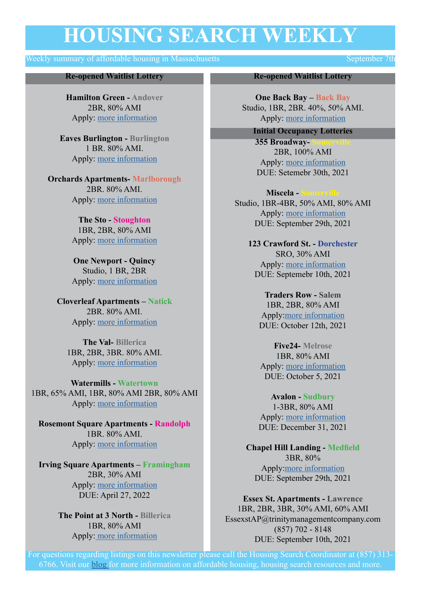## **HOUSING SEARCH WEEKLY**

#### Weekly summary of affordable housing in Massachusetts September 7th

#### **Re-opened Waitlist Lottery**

**Hamilton Green - Andover** 2BR, 80% AMI Apply: [more information](https://www.maloneyrealestate.com/affordable-Hamilton-Green-Apartments-Andover)

**Eaves Burlington - Burlington** 1 BR. 80% AMI. Apply: [more information](https://www.boston.gov/sites/default/files/metrolist_pdf/2020/07/eaves-burlington-affordable-housing-questionnaire.pdf)

**Orchards Apartments- Marlborough** 2BR. 80% AMI. Apply: [more information](https://www.maloneyrealestate.com/affordable-orchard-apartments-marlboro)

> **The Sto - Stoughton** 1BR, 2BR, 80% AMI Apply: [more information](https://www.boston.gov/sites/default/files/metrolist_pdf/2020/07/the-sto-apartments-affordable-application-%28002.pdf)

> **One Newport - Quincy**  Studio, 1 BR, 2BR Apply: [more information](https://www.boston.gov/sites/default/files/file/2021/08/Quincy%20Waitlist%20Application%202021.pdf)

**Cloverleaf Apartments – Natick** 2BR. 80% AMI. Apply: [more information](https://sebhousing.com/property/cloverleaf/)

**The Val- Billerica** 1BR, 2BR, 3BR. 80% AMI. Apply: [more information](https://sebhousing.com/property/billerica-the-val/)

**Watermills - Watertown** 1BR, 65% AMI, 1BR, 80% AMI 2BR, 80% AMI Apply: [more information](https://sebhousing.com/property/watertown-watermills/)

**Rosemont Square Apartments - Randolph** 1BR. 80% AMI. Apply: [more information](https://sebhousing.com/property/rosemont-square-apartments/)

**Irving Square Apartments – Framingham** 2BR, 30% AMI Apply: [more information](https://www.boston.gov/sites/default/files/metrolist_pdf/2020/07/ppi_common_rental_pre-application.pdf) DUE: April 27, 2022

> **The Point at 3 North - Billerica** 1BR, 80% AMI Apply: more information

#### **Re-opened Waitlist Lottery**

**One Back Bay – Back Bay** Studio, 1BR, 2BR. 40%, 50% AMI. Apply: more information

**Initial Occupancy Lotteries**

**355 Broadway-**2BR, 100% AMI Apply: [more information](https://www.gosection8.com/Section-8-housing-in-Somerville-MA/2-bedroom-1-bathroom-rental-Apt/5052283) DUE: Setemebr 30th, 2021

**Miscela - S** Studio, 1BR-4BR, 50% AMI, 80% AMI Apply: [more information](https://sebhousing.com/property/miscela/) DUE: September 29th, 2021

**123 Crawford St. - Dorchester** SRO, 30% AMI Apply: [more information](http://commonwealthlandtrust.org/5-new-affordable-income-restricted-rental-units-available-123-crawford-st-dorchester/) DUE: Septemebr 10th, 2021

**Traders Row - Salem** 1BR, 2BR, 80% AMI Apply:[more information](https://sebhousing.com/property/traders-row/) DUE: October 12th, 2021

**Five24- Melrose** 1BR, 80% AMI Apply: [more information](https://www.boston.gov/sites/default/files/metrolist_pdf/2020/07/five24-application.pdf) [DUE: October 5, 2021](https://www.boston.gov/sites/default/files/metrolist_pdf/2020/07/five24-application.pdf)

**Avalon - Sudbury** 1-3BR, 80% AMI Apply: [more information](https://www.boston.gov/sites/default/files/metrolist_pdf/2020/07/avalon-sudbury-questionnaire-2021.pdf) DUE: December 31, 2021

**Chapel Hill Landing - Medfield** 3BR, 80% Apply:[more information](https://www.boston.gov/sites/default/files/metrolist_pdf/2020/07/chapel-hill-2nd-lottery-app-final-w-plans.pdf) DUE: September 29th, 2021

**Essex St. Apartments - Lawrence**  1BR, 2BR, 3BR, 30% AMI, 60% AMI EssexstAP@trinitymanagementcompany.com (857) 702 - 8148 DUE: September 10th, 2021

For questions regarding listings on this newsletter please call the Housing Search Coordinator at (857) 313- 6766. Visit our [blog f](https://aac.org/hsa/housing-search-and-advocacy-blog/)or more information on affordable housing, housing search resources and more.